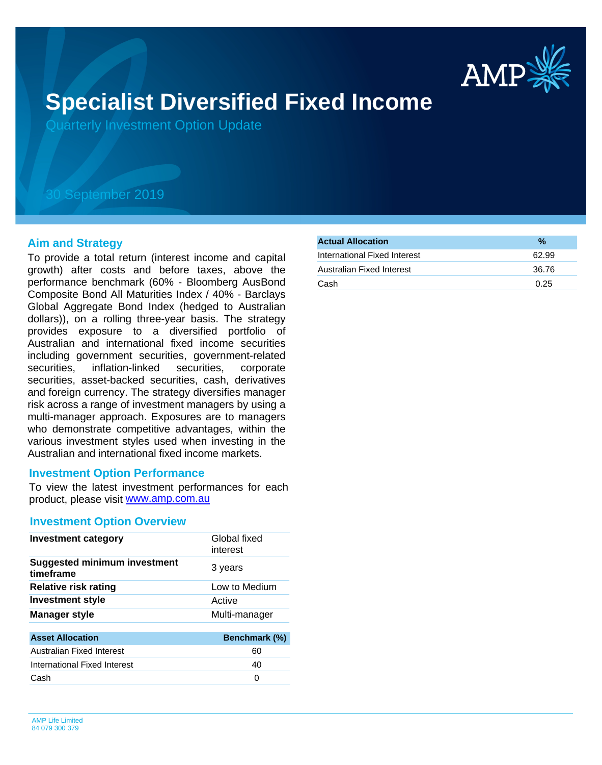

# **Specialist Diversified Fixed Income**

Quarterly Investment Option Update

## 30 September 2019

#### **Aim and Strategy**

To provide a total return (interest income and capital growth) after costs and before taxes, above the performance benchmark (60% - Bloomberg AusBond Composite Bond All Maturities Index / 40% - Barclays Global Aggregate Bond Index (hedged to Australian dollars)), on a rolling three-year basis. The strategy provides exposure to a diversified portfolio of Australian and international fixed income securities including government securities, government-related securities, inflation-linked securities, corporate securities, asset-backed securities, cash, derivatives and foreign currency. The strategy diversifies manager risk across a range of investment managers by using a multi-manager approach. Exposures are to managers who demonstrate competitive advantages, within the various investment styles used when investing in the Australian and international fixed income markets.

#### **Investment Option Performance**

product, please visit [www.amp.com.au](https://www.amp.com.au) To view the latest investment performances for each

#### **Investment Option Overview**

| <b>Investment category</b>                       | Global fixed<br>interest |
|--------------------------------------------------|--------------------------|
| <b>Suggested minimum investment</b><br>timeframe | 3 years                  |
| <b>Relative risk rating</b>                      | Low to Medium            |
| Investment style                                 | Active                   |
| <b>Manager style</b>                             | Multi-manager            |
|                                                  |                          |
| <b>Asset Allocation</b>                          | Benchmark (%)            |
| Australian Fixed Interest                        | 60                       |
| International Fixed Interest                     | 40                       |

Cash 0

| <b>Actual Allocation</b>     | $\frac{0}{2}$ |
|------------------------------|---------------|
| International Fixed Interest | 62.99         |
| Australian Fixed Interest    | 36.76         |
| Cash                         | 0.25          |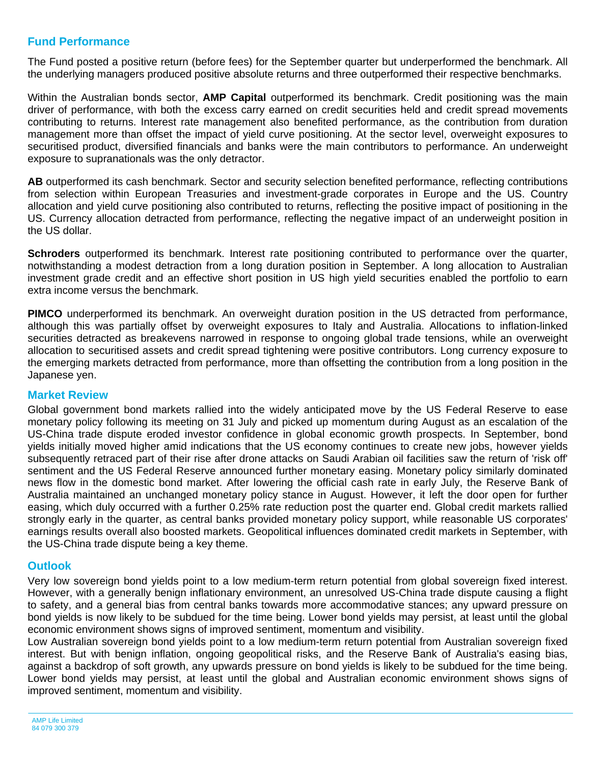### **Fund Performance**

The Fund posted a positive return (before fees) for the September quarter but underperformed the benchmark. All the underlying managers produced positive absolute returns and three outperformed their respective benchmarks.

Within the Australian bonds sector, **AMP Capital** outperformed its benchmark. Credit positioning was the main driver of performance, with both the excess carry earned on credit securities held and credit spread movements contributing to returns. Interest rate management also benefited performance, as the contribution from duration management more than offset the impact of yield curve positioning. At the sector level, overweight exposures to securitised product, diversified financials and banks were the main contributors to performance. An underweight exposure to supranationals was the only detractor.

**AB** outperformed its cash benchmark. Sector and security selection benefited performance, reflecting contributions from selection within European Treasuries and investment-grade corporates in Europe and the US. Country allocation and yield curve positioning also contributed to returns, reflecting the positive impact of positioning in the US. Currency allocation detracted from performance, reflecting the negative impact of an underweight position in the US dollar.

**Schroders** outperformed its benchmark. Interest rate positioning contributed to performance over the quarter, notwithstanding a modest detraction from a long duration position in September. A long allocation to Australian investment grade credit and an effective short position in US high yield securities enabled the portfolio to earn extra income versus the benchmark.

**PIMCO** underperformed its benchmark. An overweight duration position in the US detracted from performance, although this was partially offset by overweight exposures to Italy and Australia. Allocations to inflation-linked securities detracted as breakevens narrowed in response to ongoing global trade tensions, while an overweight allocation to securitised assets and credit spread tightening were positive contributors. Long currency exposure to the emerging markets detracted from performance, more than offsetting the contribution from a long position in the Japanese yen.

### **Market Review**

Global government bond markets rallied into the widely anticipated move by the US Federal Reserve to ease monetary policy following its meeting on 31 July and picked up momentum during August as an escalation of the US-China trade dispute eroded investor confidence in global economic growth prospects. In September, bond yields initially moved higher amid indications that the US economy continues to create new jobs, however yields subsequently retraced part of their rise after drone attacks on Saudi Arabian oil facilities saw the return of 'risk off' sentiment and the US Federal Reserve announced further monetary easing. Monetary policy similarly dominated news flow in the domestic bond market. After lowering the official cash rate in early July, the Reserve Bank of Australia maintained an unchanged monetary policy stance in August. However, it left the door open for further easing, which duly occurred with a further 0.25% rate reduction post the quarter end. Global credit markets rallied strongly early in the quarter, as central banks provided monetary policy support, while reasonable US corporates' earnings results overall also boosted markets. Geopolitical influences dominated credit markets in September, with the US-China trade dispute being a key theme.

### **Outlook**

Very low sovereign bond yields point to a low medium-term return potential from global sovereign fixed interest. However, with a generally benign inflationary environment, an unresolved US-China trade dispute causing a flight to safety, and a general bias from central banks towards more accommodative stances; any upward pressure on bond yields is now likely to be subdued for the time being. Lower bond yields may persist, at least until the global economic environment shows signs of improved sentiment, momentum and visibility.

Low Australian sovereign bond yields point to a low medium-term return potential from Australian sovereign fixed interest. But with benign inflation, ongoing geopolitical risks, and the Reserve Bank of Australia's easing bias, against a backdrop of soft growth, any upwards pressure on bond yields is likely to be subdued for the time being. Lower bond yields may persist, at least until the global and Australian economic environment shows signs of improved sentiment, momentum and visibility.